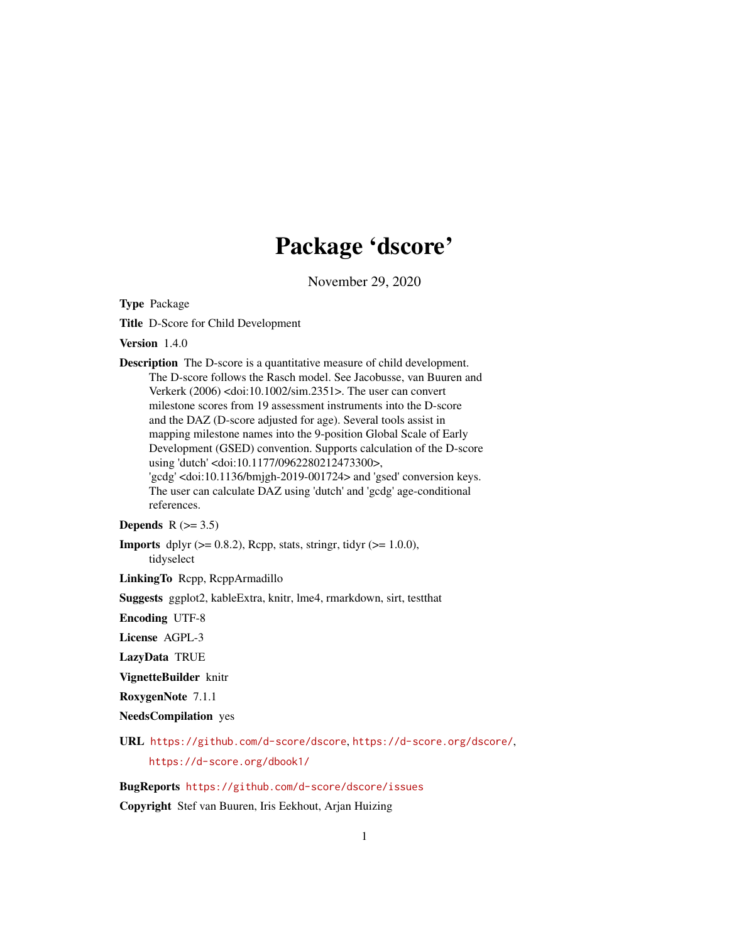# Package 'dscore'

November 29, 2020

<span id="page-0-0"></span>Type Package

Title D-Score for Child Development

Version 1.4.0

Description The D-score is a quantitative measure of child development. The D-score follows the Rasch model. See Jacobusse, van Buuren and Verkerk (2006) <doi:10.1002/sim.2351>. The user can convert milestone scores from 19 assessment instruments into the D-score and the DAZ (D-score adjusted for age). Several tools assist in mapping milestone names into the 9-position Global Scale of Early Development (GSED) convention. Supports calculation of the D-score using 'dutch' <doi:10.1177/0962280212473300>, 'gcdg' <doi:10.1136/bmjgh-2019-001724> and 'gsed' conversion keys. The user can calculate DAZ using 'dutch' and 'gcdg' age-conditional references.

# Depends  $R$  ( $>= 3.5$ )

**Imports** dplyr  $(>= 0.8.2)$ , Rcpp, stats, stringr, tidyr  $(>= 1.0.0)$ , tidyselect

LinkingTo Rcpp, RcppArmadillo

Suggests ggplot2, kableExtra, knitr, lme4, rmarkdown, sirt, testthat

Encoding UTF-8

License AGPL-3

LazyData TRUE

VignetteBuilder knitr

RoxygenNote 7.1.1

NeedsCompilation yes

URL <https://github.com/d-score/dscore>, <https://d-score.org/dscore/>, <https://d-score.org/dbook1/>

# BugReports <https://github.com/d-score/dscore/issues>

Copyright Stef van Buuren, Iris Eekhout, Arjan Huizing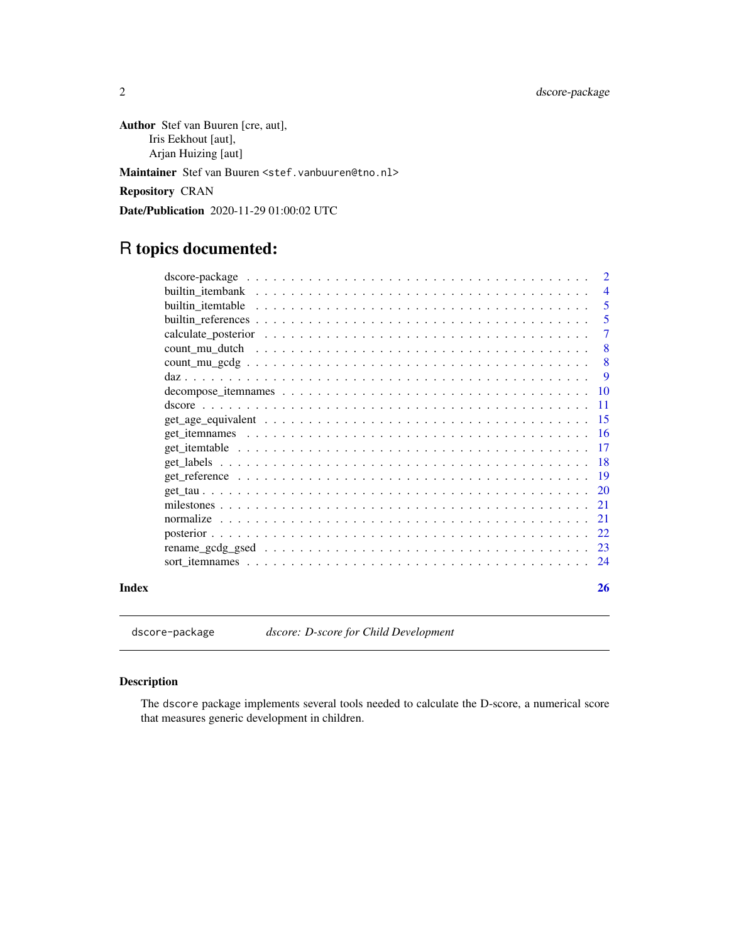<span id="page-1-0"></span>Author Stef van Buuren [cre, aut], Iris Eekhout [aut], Arjan Huizing [aut]

Maintainer Stef van Buuren <stef.vanbuuren@tno.nl>

Repository CRAN

Date/Publication 2020-11-29 01:00:02 UTC

# R topics documented:

|       | $\overline{2}$  |
|-------|-----------------|
|       | $\overline{4}$  |
|       | 5               |
|       | 5               |
|       | $\tau$          |
|       | -8              |
|       | 8               |
|       | -9              |
|       |                 |
|       | $\overline{11}$ |
|       | 15              |
|       |                 |
|       |                 |
|       |                 |
|       |                 |
|       |                 |
|       |                 |
|       | 21              |
|       |                 |
|       |                 |
|       | 24              |
| Index | 26              |

dscore-package *dscore: D-score for Child Development*

# Description

The dscore package implements several tools needed to calculate the D-score, a numerical score that measures generic development in children.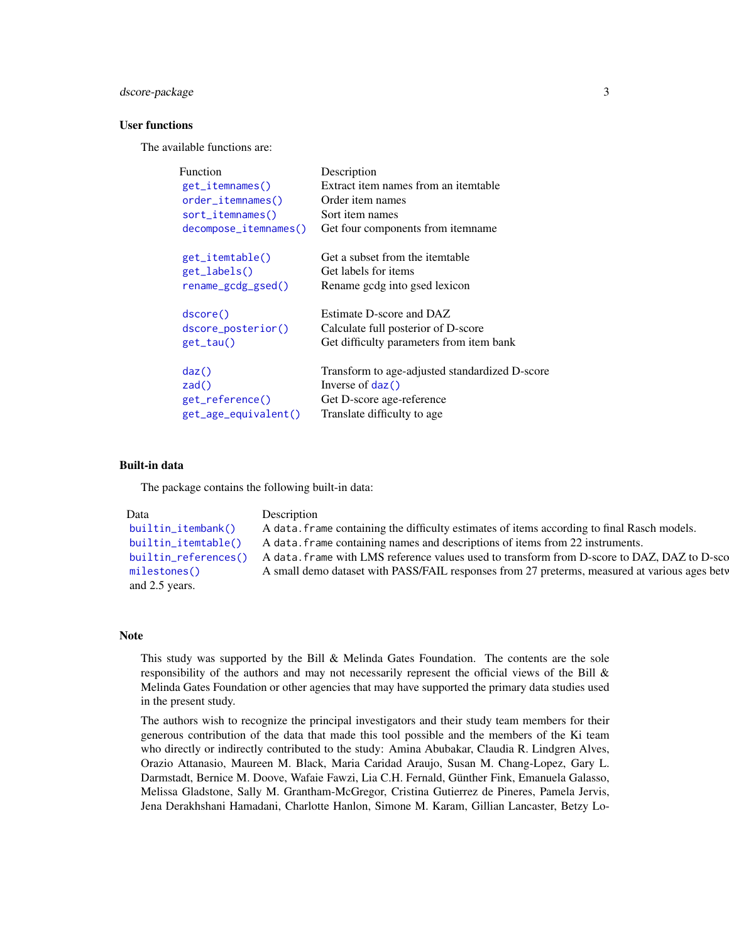# <span id="page-2-0"></span>dscore-package 3

#### User functions

The available functions are:

| <b>Function</b>       | Description                                    |
|-----------------------|------------------------------------------------|
| get_itemnames()       | Extract item names from an itemtable           |
| order_itemnames()     | Order item names                               |
| $sort_itemnames()$    | Sort item names                                |
| decompose_itemnames() | Get four components from itemname.             |
| get_itemtable()       | Get a subset from the itemtable                |
| get_labels()          | Get labels for items                           |
| rename_gcdg_gsed()    | Rename godg into gsed lexicon                  |
| dscore()              | Estimate D-score and DAZ                       |
| dscore_posterior()    | Calculate full posterior of D-score            |
| $get\_tau()$          | Get difficulty parameters from item bank       |
| daz()                 | Transform to age-adjusted standardized D-score |
| zad()                 | Inverse of $\text{daz}()$                      |
| get_reference()       | Get D-score age-reference                      |
| get_age_equivalent()  | Translate difficulty to age                    |
|                       |                                                |

#### Built-in data

The package contains the following built-in data:

```
Data Description
builtin_itembank() A data.frame containing the difficulty estimates of items according to final Rasch models.
builtin_itemtable() A data.frame containing names and descriptions of items from 22 instruments.
builtin_references() A data.frame with LMS reference values used to transform from D-score to DAZ, DAZ to D-scc
milestones() A small demo dataset with PASS/FAIL responses from 27 preterms, measured at various ages between
and 2.5 years.
```
# Note

This study was supported by the Bill  $\&$  Melinda Gates Foundation. The contents are the sole responsibility of the authors and may not necessarily represent the official views of the Bill & Melinda Gates Foundation or other agencies that may have supported the primary data studies used in the present study.

The authors wish to recognize the principal investigators and their study team members for their generous contribution of the data that made this tool possible and the members of the Ki team who directly or indirectly contributed to the study: Amina Abubakar, Claudia R. Lindgren Alves, Orazio Attanasio, Maureen M. Black, Maria Caridad Araujo, Susan M. Chang-Lopez, Gary L. Darmstadt, Bernice M. Doove, Wafaie Fawzi, Lia C.H. Fernald, Günther Fink, Emanuela Galasso, Melissa Gladstone, Sally M. Grantham-McGregor, Cristina Gutierrez de Pineres, Pamela Jervis, Jena Derakhshani Hamadani, Charlotte Hanlon, Simone M. Karam, Gillian Lancaster, Betzy Lo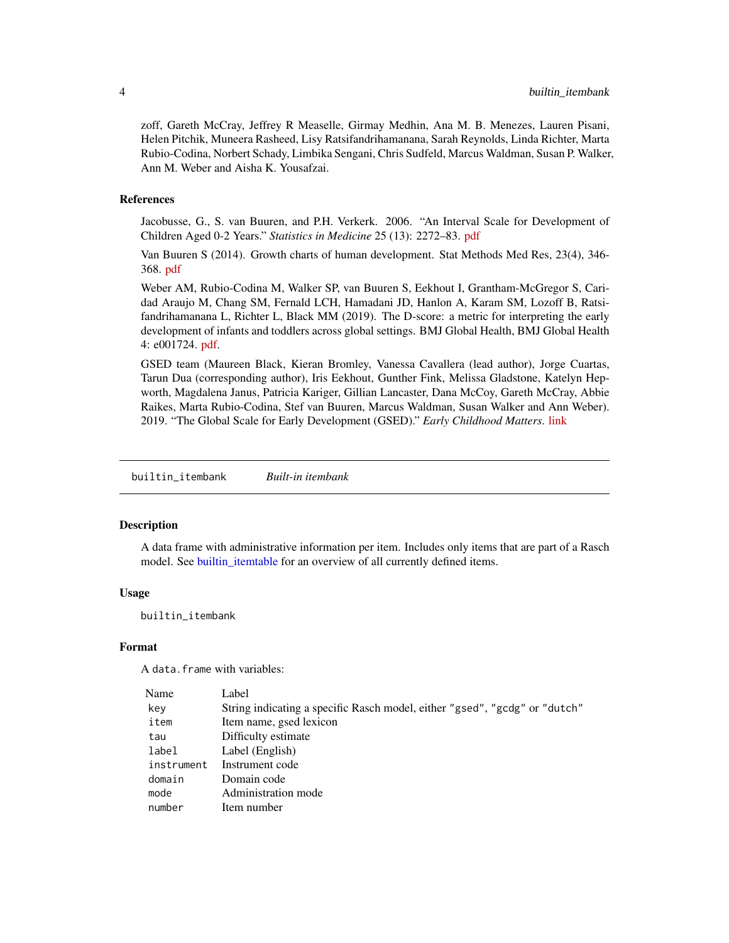<span id="page-3-0"></span>zoff, Gareth McCray, Jeffrey R Measelle, Girmay Medhin, Ana M. B. Menezes, Lauren Pisani, Helen Pitchik, Muneera Rasheed, Lisy Ratsifandrihamanana, Sarah Reynolds, Linda Richter, Marta Rubio-Codina, Norbert Schady, Limbika Sengani, Chris Sudfeld, Marcus Waldman, Susan P. Walker, Ann M. Weber and Aisha K. Yousafzai.

# References

Jacobusse, G., S. van Buuren, and P.H. Verkerk. 2006. "An Interval Scale for Development of Children Aged 0-2 Years." *Statistics in Medicine* 25 (13): 2272–83. [pdf](https://stefvanbuuren.name/publications/Interval%20scale%20-%20Stat%20Med%202006.pdf)

Van Buuren S (2014). Growth charts of human development. Stat Methods Med Res, 23(4), 346- 368. [pdf](https://stefvanbuuren.name/publications/2014%20Growth%20charts%20for%20development%20-%20SMMR.pdf)

Weber AM, Rubio-Codina M, Walker SP, van Buuren S, Eekhout I, Grantham-McGregor S, Caridad Araujo M, Chang SM, Fernald LCH, Hamadani JD, Hanlon A, Karam SM, Lozoff B, Ratsifandrihamanana L, Richter L, Black MM (2019). The D-score: a metric for interpreting the early development of infants and toddlers across global settings. BMJ Global Health, BMJ Global Health 4: e001724. [pdf.](https://gh.bmj.com/content/bmjgh/4/6/e001724.full.pdf)

GSED team (Maureen Black, Kieran Bromley, Vanessa Cavallera (lead author), Jorge Cuartas, Tarun Dua (corresponding author), Iris Eekhout, Gunther Fink, Melissa Gladstone, Katelyn Hepworth, Magdalena Janus, Patricia Kariger, Gillian Lancaster, Dana McCoy, Gareth McCray, Abbie Raikes, Marta Rubio-Codina, Stef van Buuren, Marcus Waldman, Susan Walker and Ann Weber). 2019. "The Global Scale for Early Development (GSED)." *Early Childhood Matters*. [link](https://earlychildhoodmatters.online/2019/the-global-scale-for-early-development-gsed/)

<span id="page-3-1"></span>builtin\_itembank *Built-in itembank*

#### **Description**

A data frame with administrative information per item. Includes only items that are part of a Rasch model. See [builtin\\_itemtable](#page-4-1) for an overview of all currently defined items.

#### Usage

builtin\_itembank

#### Format

A data.frame with variables:

| Name       | Label                                                                      |
|------------|----------------------------------------------------------------------------|
| key        | String indicating a specific Rasch model, either "gsed", "gcdg" or "dutch" |
| item       | Item name, gsed lexicon                                                    |
| tau        | Difficulty estimate                                                        |
| label      | Label (English)                                                            |
| instrument | Instrument code                                                            |
| domain     | Domain code                                                                |
| mode       | Administration mode                                                        |
| number     | Item number                                                                |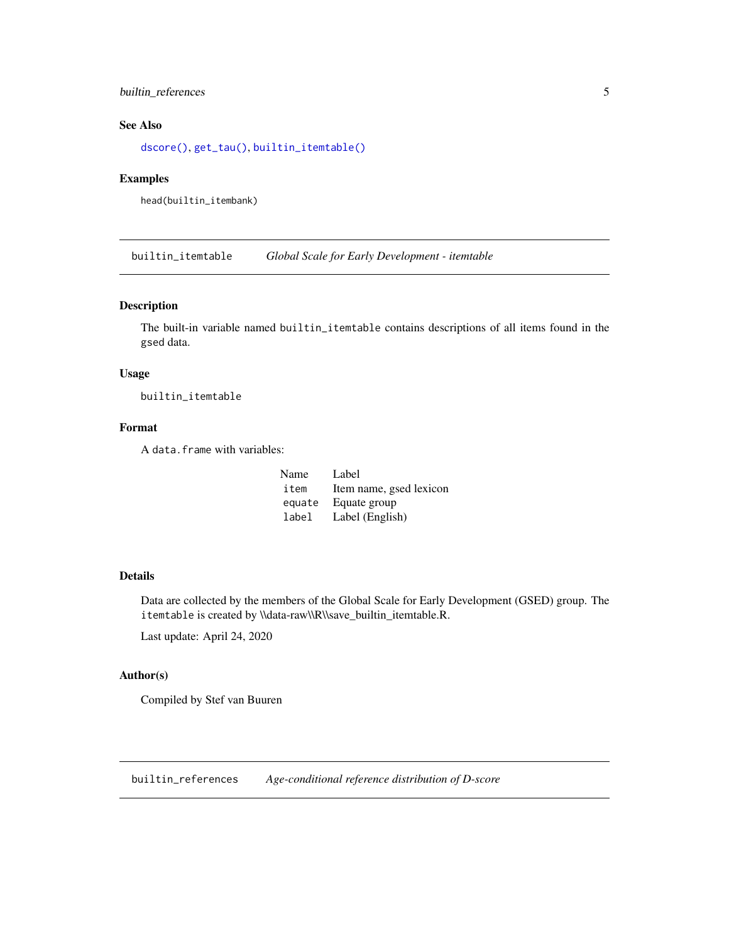# <span id="page-4-0"></span>builtin\_references 5

# See Also

[dscore\(\)](#page-10-1), [get\\_tau\(\)](#page-19-1), [builtin\\_itemtable\(\)](#page-4-1)

#### Examples

head(builtin\_itembank)

<span id="page-4-1"></span>builtin\_itemtable *Global Scale for Early Development - itemtable*

# Description

The built-in variable named builtin\_itemtable contains descriptions of all items found in the gsed data.

# Usage

builtin\_itemtable

# Format

A data.frame with variables:

| Name   | Label                   |
|--------|-------------------------|
| item   | Item name, gsed lexicon |
| equate | Equate group            |
| label  | Label (English)         |

# Details

Data are collected by the members of the Global Scale for Early Development (GSED) group. The itemtable is created by \\data-raw\\R\\save\_builtin\_itemtable.R.

Last update: April 24, 2020

# Author(s)

Compiled by Stef van Buuren

<span id="page-4-2"></span>builtin\_references *Age-conditional reference distribution of D-score*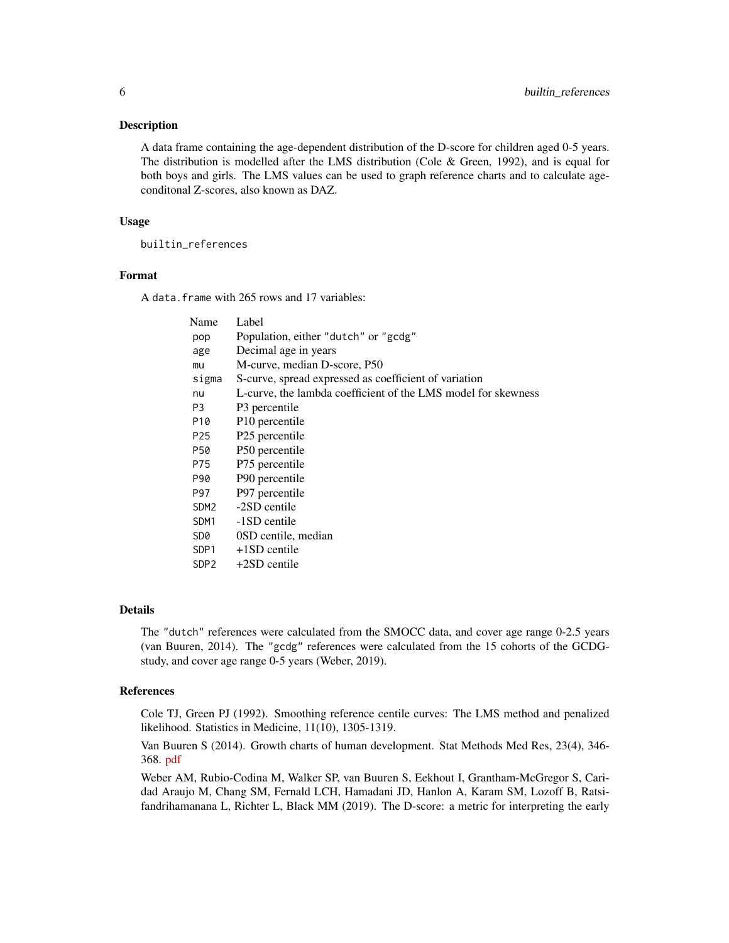#### Description

A data frame containing the age-dependent distribution of the D-score for children aged 0-5 years. The distribution is modelled after the LMS distribution (Cole & Green, 1992), and is equal for both boys and girls. The LMS values can be used to graph reference charts and to calculate ageconditonal Z-scores, also known as DAZ.

#### Usage

builtin\_references

# Format

A data.frame with 265 rows and 17 variables:

| Name             | Label                                                         |
|------------------|---------------------------------------------------------------|
| pop              | Population, either "dutch" or "gcdg"                          |
| age              | Decimal age in years                                          |
| mu               | M-curve, median D-score, P50                                  |
| sigma            | S-curve, spread expressed as coefficient of variation         |
| nu               | L-curve, the lambda coefficient of the LMS model for skewness |
| P3               | P <sub>3</sub> percentile                                     |
| P10              | P <sub>10</sub> percentile                                    |
| P <sub>25</sub>  | P25 percentile                                                |
| P50              | P50 percentile                                                |
| P75              | P75 percentile                                                |
| P90              | P90 percentile                                                |
| P97              | P97 percentile                                                |
| SDM <sub>2</sub> | -2SD centile                                                  |
| SDM1             | -1SD centile                                                  |
| SD0              | 0SD centile, median                                           |
| SDP <sub>1</sub> | $+1SD$ centile                                                |
| SDP <sub>2</sub> | $+2SD$ centile                                                |
|                  |                                                               |

#### Details

The "dutch" references were calculated from the SMOCC data, and cover age range 0-2.5 years (van Buuren, 2014). The "gcdg" references were calculated from the 15 cohorts of the GCDGstudy, and cover age range 0-5 years (Weber, 2019).

#### References

Cole TJ, Green PJ (1992). Smoothing reference centile curves: The LMS method and penalized likelihood. Statistics in Medicine, 11(10), 1305-1319.

Van Buuren S (2014). Growth charts of human development. Stat Methods Med Res, 23(4), 346- 368. [pdf](https://stefvanbuuren.name/publications/2014%20Growth%20charts%20for%20development%20-%20SMMR.pdf)

Weber AM, Rubio-Codina M, Walker SP, van Buuren S, Eekhout I, Grantham-McGregor S, Caridad Araujo M, Chang SM, Fernald LCH, Hamadani JD, Hanlon A, Karam SM, Lozoff B, Ratsifandrihamanana L, Richter L, Black MM (2019). The D-score: a metric for interpreting the early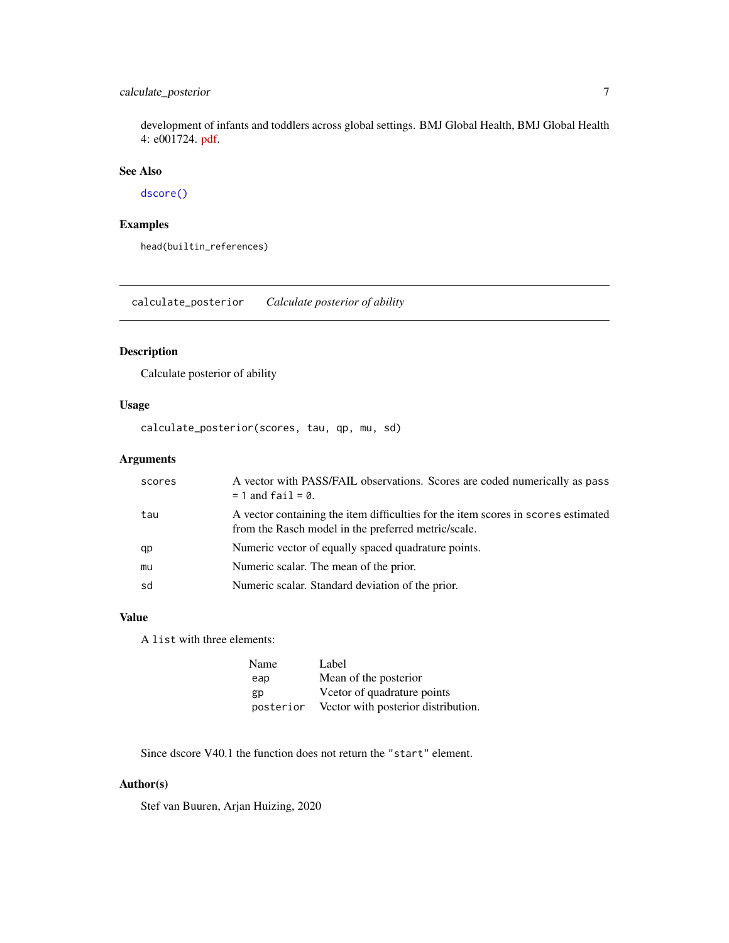# <span id="page-6-0"></span>calculate\_posterior 7

development of infants and toddlers across global settings. BMJ Global Health, BMJ Global Health 4: e001724. [pdf.](https://gh.bmj.com/content/bmjgh/4/6/e001724.full.pdf)

# See Also

[dscore\(\)](#page-10-1)

# Examples

head(builtin\_references)

calculate\_posterior *Calculate posterior of ability*

# Description

Calculate posterior of ability

# Usage

calculate\_posterior(scores, tau, qp, mu, sd)

# Arguments

| scores | A vector with PASS/FAIL observations. Scores are coded numerically as pass<br>$= 1$ and fail $= 0$ .                                     |
|--------|------------------------------------------------------------------------------------------------------------------------------------------|
| tau    | A vector containing the item difficulties for the item scores in scores estimated<br>from the Rasch model in the preferred metric/scale. |
| qp     | Numeric vector of equally spaced quadrature points.                                                                                      |
| mu     | Numeric scalar. The mean of the prior.                                                                                                   |
| sd     | Numeric scalar. Standard deviation of the prior.                                                                                         |

# Value

A list with three elements:

| Name      | Label                               |
|-----------|-------------------------------------|
| eap       | Mean of the posterior               |
| gp        | Vector of quadrature points         |
| posterior | Vector with posterior distribution. |

Since dscore V40.1 the function does not return the "start" element.

# Author(s)

Stef van Buuren, Arjan Huizing, 2020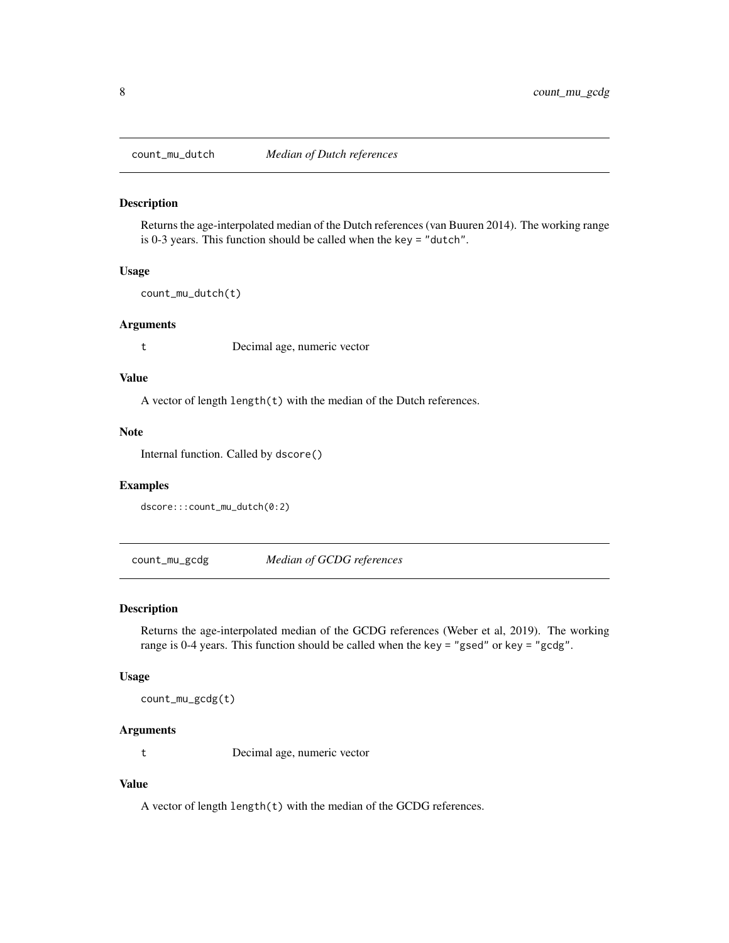<span id="page-7-0"></span>

#### Description

Returns the age-interpolated median of the Dutch references (van Buuren 2014). The working range is 0-3 years. This function should be called when the key = "dutch".

#### Usage

count\_mu\_dutch(t)

#### Arguments

t Decimal age, numeric vector

# Value

A vector of length length(t) with the median of the Dutch references.

# Note

Internal function. Called by dscore()

#### Examples

dscore:::count\_mu\_dutch(0:2)

count\_mu\_gcdg *Median of GCDG references*

# Description

Returns the age-interpolated median of the GCDG references (Weber et al, 2019). The working range is 0-4 years. This function should be called when the key = "gsed" or key = "gcdg".

#### Usage

count\_mu\_gcdg(t)

#### Arguments

t Decimal age, numeric vector

# Value

A vector of length length(t) with the median of the GCDG references.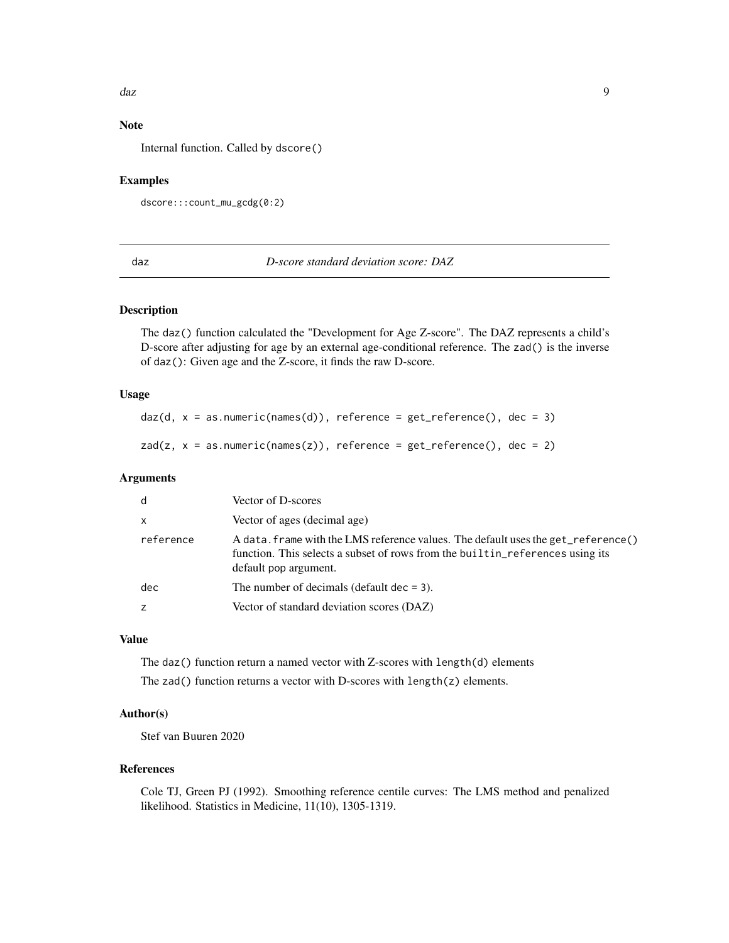#### <span id="page-8-0"></span>daz da *daz* elemento de la contrada da contrada da contrada da contrada da contrada da contrada da contrada da contrada da contrada da contrada da contrada da contrada da contrada da contrada da contrada da contrada da co

# Note

Internal function. Called by dscore()

#### Examples

```
dscore:::count_mu_gcdg(0:2)
```
<span id="page-8-1"></span>daz *D-score standard deviation score: DAZ*

#### <span id="page-8-2"></span>Description

The daz() function calculated the "Development for Age Z-score". The DAZ represents a child's D-score after adjusting for age by an external age-conditional reference. The zad() is the inverse of daz(): Given age and the Z-score, it finds the raw D-score.

# Usage

 $daz(d, x = as.numeric(name(d)),$  reference = get\_reference(),  $dec = 3)$ 

 $zad(z, x = as.numeric(names(z)),$  reference = get\_reference(), dec = 2)

# Arguments

| d            | Vector of D-scores                                                                                                                                                                          |
|--------------|---------------------------------------------------------------------------------------------------------------------------------------------------------------------------------------------|
| $\mathsf{x}$ | Vector of ages (decimal age)                                                                                                                                                                |
| reference    | A data. frame with the LMS reference values. The default uses the get_reference()<br>function. This selects a subset of rows from the builtin_references using its<br>default pop argument. |
| dec          | The number of decimals (default dec $= 3$ ).                                                                                                                                                |
| z            | Vector of standard deviation scores (DAZ)                                                                                                                                                   |

# Value

The daz() function return a named vector with Z-scores with length(d) elements The zad() function returns a vector with D-scores with length(z) elements.

# Author(s)

Stef van Buuren 2020

#### References

Cole TJ, Green PJ (1992). Smoothing reference centile curves: The LMS method and penalized likelihood. Statistics in Medicine, 11(10), 1305-1319.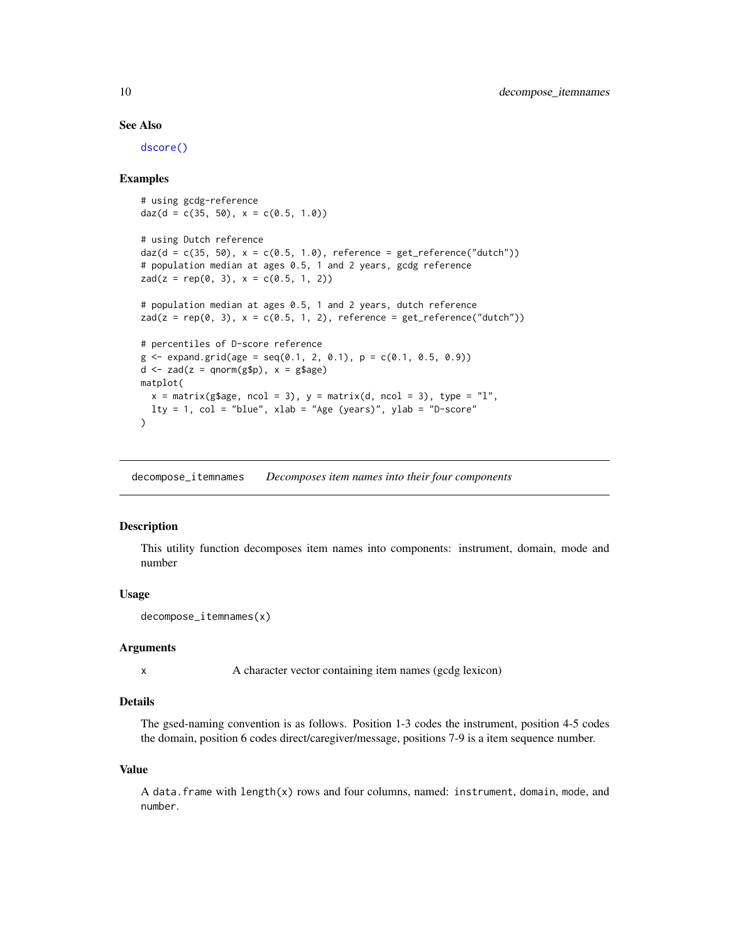#### See Also

[dscore\(\)](#page-10-1)

#### Examples

```
# using gcdg-reference
daz(d = c(35, 50), x = c(0.5, 1.0))
# using Dutch reference
daz(d = c(35, 50), x = c(0.5, 1.0), reference = get_reference("dutch"))
# population median at ages 0.5, 1 and 2 years, gcdg reference
zad(z = rep(0, 3), x = c(0.5, 1, 2))# population median at ages 0.5, 1 and 2 years, dutch reference
zad(z = rep(0, 3), x = c(0.5, 1, 2), reference = get_reference("dutch"))# percentiles of D-score reference
g \leq - \exp(\arctan(2\pi) - \arctan(2\pi) - \arctan(2\pi) - \arctan(2\pi) - \arctan(2\pi) - \arctan(2\pi) - \arctan(2\pi) - \arctan(2\pi) - \arctan(2\pi) - \arctan(2\pi) - \arctan(2\pi) - \arctan(2\pi) - \arctan(2\pi) - \arctan(2\pi) - \arctan(2\pi) - \arctan(2\pi) - \arctan(2\pi) - \arctan(2\pi) - \arctan(2\pi) - \arctan(2\pi) - \arctan(2\pi) - \arctd \le -zad(z = qnorm(g\ p), x = g\age)
matplot(
  x = matrix(g\{age, ncol = 3), y = matrix(d, ncol = 3), type = "l",
  lty = 1, col = "blue", xlab = "Age (years)", ylab = "D-score"
)
```
<span id="page-9-1"></span>decompose\_itemnames *Decomposes item names into their four components*

#### **Description**

This utility function decomposes item names into components: instrument, domain, mode and number

#### Usage

decompose\_itemnames(x)

#### Arguments

x A character vector containing item names (gcdg lexicon)

# Details

The gsed-naming convention is as follows. Position 1-3 codes the instrument, position 4-5 codes the domain, position 6 codes direct/caregiver/message, positions 7-9 is a item sequence number.

#### Value

A data.frame with length(x) rows and four columns, named: instrument, domain, mode, and number.

<span id="page-9-0"></span>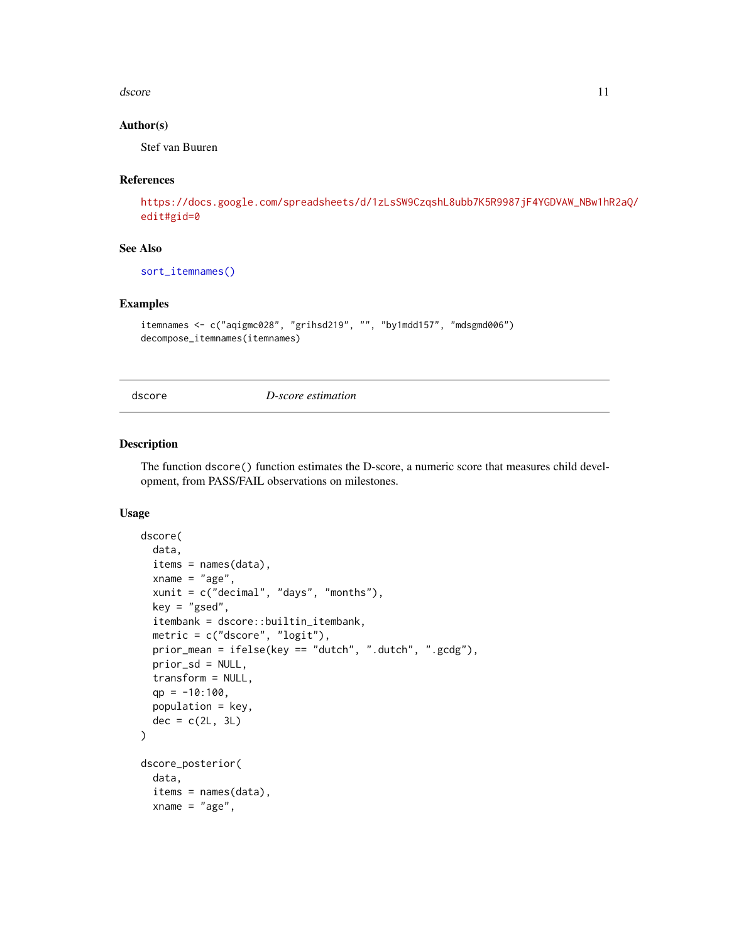#### <span id="page-10-0"></span>dscore the contract of the contract of the contract of the contract of the contract of the contract of the contract of the contract of the contract of the contract of the contract of the contract of the contract of the con

#### Author(s)

Stef van Buuren

# References

[https://docs.google.com/spreadsheets/d/1zLsSW9CzqshL8ubb7K5R9987jF4YGDVAW\\_NBw1hR](https://docs.google.com/spreadsheets/d/1zLsSW9CzqshL8ubb7K5R9987jF4YGDVAW_NBw1hR2aQ/edit#gid=0)2aQ/ [edit#gid=0](https://docs.google.com/spreadsheets/d/1zLsSW9CzqshL8ubb7K5R9987jF4YGDVAW_NBw1hR2aQ/edit#gid=0)

# See Also

[sort\\_itemnames\(\)](#page-23-2)

#### Examples

```
itemnames <- c("aqigmc028", "grihsd219", "", "by1mdd157", "mdsgmd006")
decompose_itemnames(itemnames)
```
dscore *D-score estimation*

#### <span id="page-10-2"></span>Description

The function dscore() function estimates the D-score, a numeric score that measures child development, from PASS/FAIL observations on milestones.

#### Usage

```
dscore(
  data,
  items = names(data),
  xname = "age",
  xunit = c("decimal", "days", "months"),
  key = "gsed",itembank = dscore::builtin_itembank,
  metric = c("dscore", "logit"),
  prior_mean = ifelse(key == "dutch", ".dutch", ".gcdg"),
 prior_sd = NULL,
  transform = NULL,
  qp = -10:100,population = key,
  dec = c(2L, 3L)\lambdadscore_posterior(
  data,
  items = names(data),
  xname = "age",
```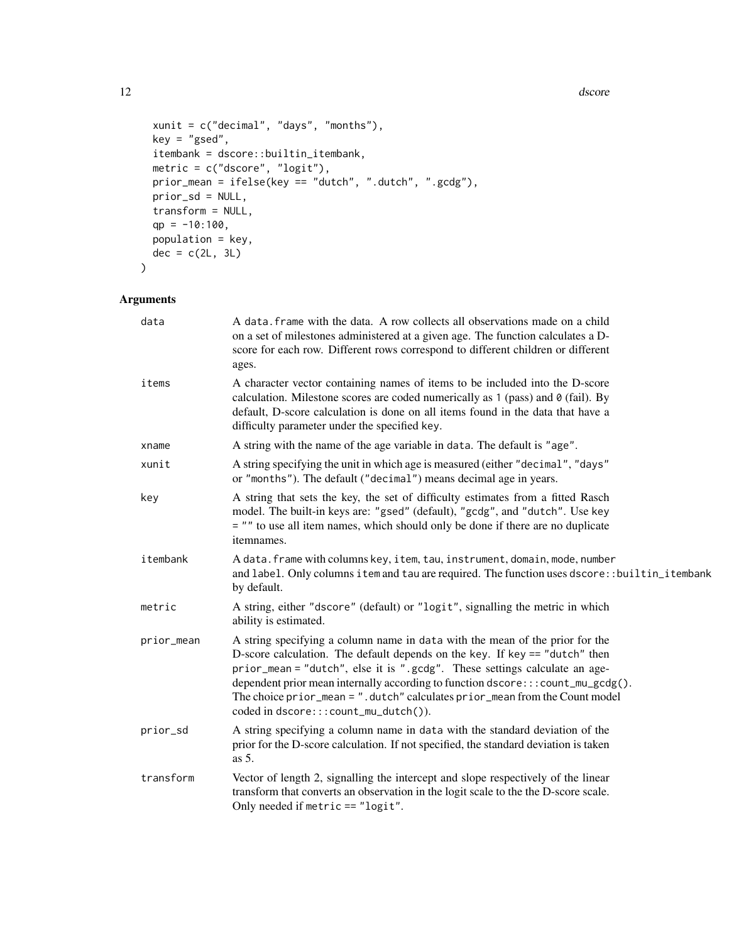#### 12 dscore

```
xunit = c("decimal", "days", "months"),
 key = "gsed",
  itembank = dscore::builtin_itembank,
 metric = c("dscore", "logit"),
 prior_mean = ifelse(key == "dutch", ".dutch", ".gcdg"),
 prior_sd = NULL,
 transform = NULL,
 qp = -10:100,population = key,
 dec = c(2L, 3L)\mathcal{L}
```
# Arguments

| data       | A data frame with the data. A row collects all observations made on a child<br>on a set of milestones administered at a given age. The function calculates a D-<br>score for each row. Different rows correspond to different children or different<br>ages.                                                                                                                                                                                         |  |  |
|------------|------------------------------------------------------------------------------------------------------------------------------------------------------------------------------------------------------------------------------------------------------------------------------------------------------------------------------------------------------------------------------------------------------------------------------------------------------|--|--|
| items      | A character vector containing names of items to be included into the D-score<br>calculation. Milestone scores are coded numerically as $1$ (pass) and $\theta$ (fail). By<br>default, D-score calculation is done on all items found in the data that have a<br>difficulty parameter under the specified key.                                                                                                                                        |  |  |
| xname      | A string with the name of the age variable in data. The default is "age".                                                                                                                                                                                                                                                                                                                                                                            |  |  |
| xunit      | A string specifying the unit in which age is measured (either "decimal", "days"<br>or "months"). The default ("decimal") means decimal age in years.                                                                                                                                                                                                                                                                                                 |  |  |
| key        | A string that sets the key, the set of difficulty estimates from a fitted Rasch<br>model. The built-in keys are: "gsed" (default), "gcdg", and "dutch". Use key<br>= "" to use all item names, which should only be done if there are no duplicate<br>itemnames.                                                                                                                                                                                     |  |  |
| itembank   | A data. frame with columns key, item, tau, instrument, domain, mode, number<br>and label. Only columns item and tau are required. The function uses dscore::builtin_itembank<br>by default.                                                                                                                                                                                                                                                          |  |  |
| metric     | A string, either "dscore" (default) or "logit", signalling the metric in which<br>ability is estimated.                                                                                                                                                                                                                                                                                                                                              |  |  |
| prior_mean | A string specifying a column name in data with the mean of the prior for the<br>D-score calculation. The default depends on the key. If key == "dutch" then<br>prior_mean = "dutch", else it is ".gcdg". These settings calculate an age-<br>dependent prior mean internally according to function dscore::: count_mu_gcdg().<br>The choice prior_mean = ".dutch" calculates prior_mean from the Count model<br>coded in dscore:::count_mu_dutch()). |  |  |
| prior_sd   | A string specifying a column name in data with the standard deviation of the<br>prior for the D-score calculation. If not specified, the standard deviation is taken<br>as $5$ .                                                                                                                                                                                                                                                                     |  |  |
| transform  | Vector of length 2, signalling the intercept and slope respectively of the linear<br>transform that converts an observation in the logit scale to the the D-score scale.<br>Only needed if metric == "logit".                                                                                                                                                                                                                                        |  |  |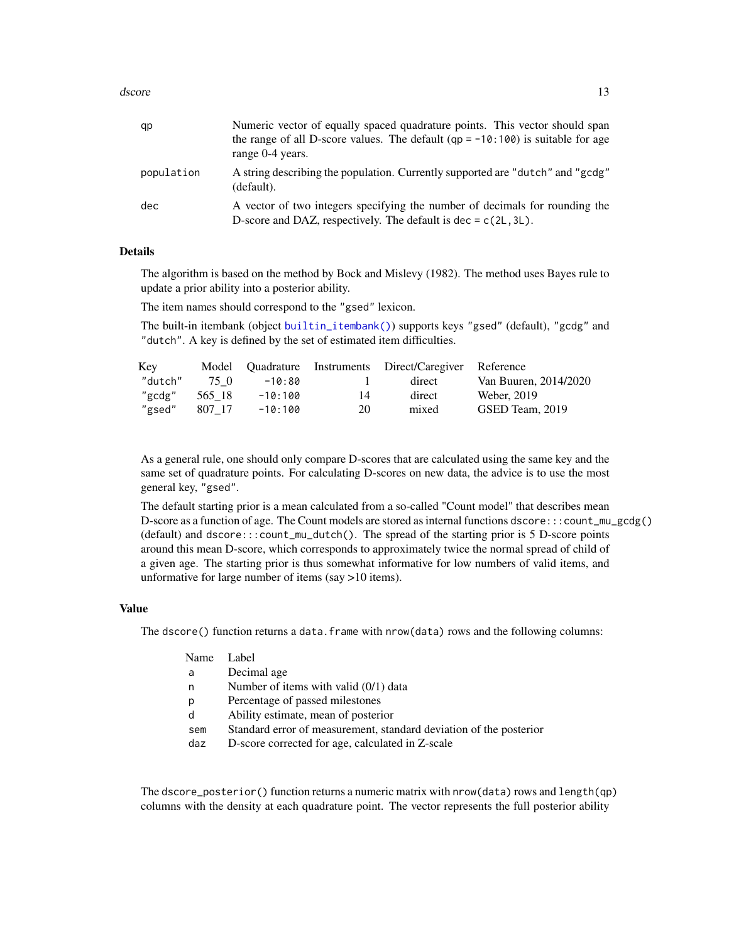#### <span id="page-12-0"></span>dscore the contract of the contract of the contract of the contract of the contract of the contract of the contract of the contract of the contract of the contract of the contract of the contract of the contract of the con

| qp         | Numeric vector of equally spaced quadrature points. This vector should span<br>the range of all D-score values. The default (qp = $-10:100$ ) is suitable for age<br>range 0-4 years. |
|------------|---------------------------------------------------------------------------------------------------------------------------------------------------------------------------------------|
| population | A string describing the population. Currently supported are "dutch" and "gcdg"<br>(default).                                                                                          |
| dec        | A vector of two integers specifying the number of decimals for rounding the<br>D-score and DAZ, respectively. The default is dec = $c(2L, 3L)$ .                                      |

#### Details

The algorithm is based on the method by Bock and Mislevy (1982). The method uses Bayes rule to update a prior ability into a posterior ability.

The item names should correspond to the "gsed" lexicon.

The built-in itembank (object [builtin\\_itembank\(\)](#page-3-1)) supports keys "gsed" (default), "gcdg" and "dutch". A key is defined by the set of estimated item difficulties.

| Key     |        |         |    | Model Quadrature Instruments Direct/Caregiver Reference |                       |
|---------|--------|---------|----|---------------------------------------------------------|-----------------------|
| "dutch" | 75 O   | -10:80  |    | direct                                                  | Van Buuren, 2014/2020 |
| "gcdg"  | 565 18 | -10:100 | 14 | direct                                                  | Weber, 2019           |
| "gsed"  | 807 17 | -10:100 | 20 | mixed                                                   | GSED Team, 2019       |

As a general rule, one should only compare D-scores that are calculated using the same key and the same set of quadrature points. For calculating D-scores on new data, the advice is to use the most general key, "gsed".

The default starting prior is a mean calculated from a so-called "Count model" that describes mean D-score as a function of age. The Count models are stored as internal functions dscore:::count\_mu\_gcdg() (default) and dscore:::count\_mu\_dutch(). The spread of the starting prior is 5 D-score points around this mean D-score, which corresponds to approximately twice the normal spread of child of a given age. The starting prior is thus somewhat informative for low numbers of valid items, and unformative for large number of items (say >10 items).

# Value

The dscore() function returns a data. frame with nrow(data) rows and the following columns:

#### Name Label

- a Decimal age
- n Number of items with valid (0/1) data
- p Percentage of passed milestones
- d Ability estimate, mean of posterior
- sem Standard error of measurement, standard deviation of the posterior
- daz D-score corrected for age, calculated in Z-scale

The dscore\_posterior() function returns a numeric matrix with nrow(data) rows and length(qp) columns with the density at each quadrature point. The vector represents the full posterior ability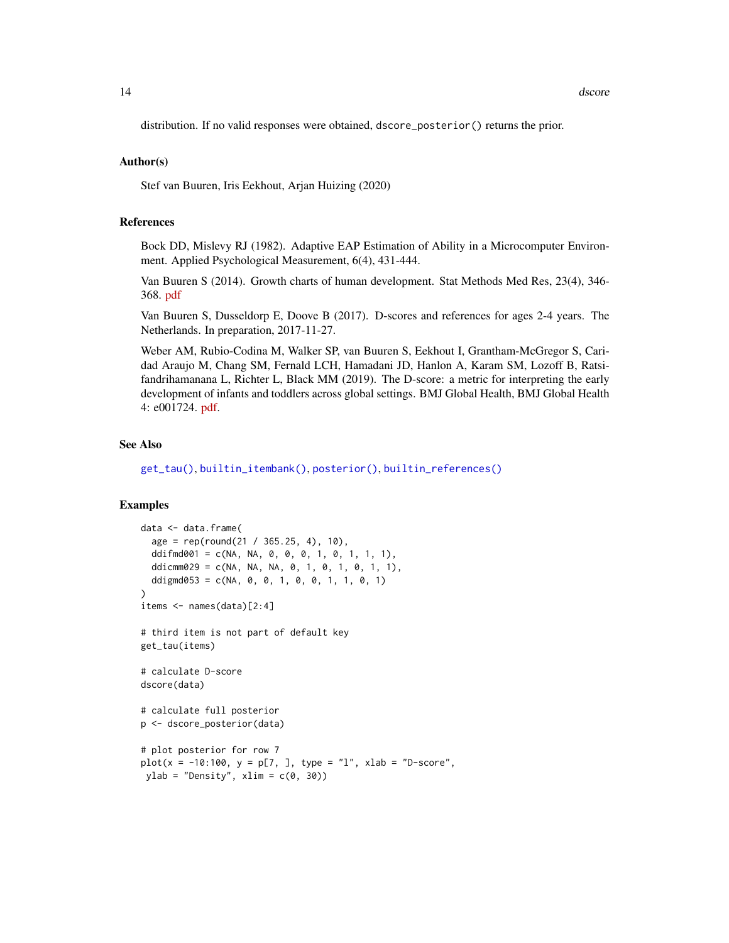<span id="page-13-0"></span>distribution. If no valid responses were obtained, dscore\_posterior() returns the prior.

#### Author(s)

Stef van Buuren, Iris Eekhout, Arjan Huizing (2020)

#### References

Bock DD, Mislevy RJ (1982). Adaptive EAP Estimation of Ability in a Microcomputer Environment. Applied Psychological Measurement, 6(4), 431-444.

Van Buuren S (2014). Growth charts of human development. Stat Methods Med Res, 23(4), 346- 368. [pdf](https://stefvanbuuren.name/publications/2014%20Growth%20charts%20for%20development%20-%20SMMR.pdf)

Van Buuren S, Dusseldorp E, Doove B (2017). D-scores and references for ages 2-4 years. The Netherlands. In preparation, 2017-11-27.

Weber AM, Rubio-Codina M, Walker SP, van Buuren S, Eekhout I, Grantham-McGregor S, Caridad Araujo M, Chang SM, Fernald LCH, Hamadani JD, Hanlon A, Karam SM, Lozoff B, Ratsifandrihamanana L, Richter L, Black MM (2019). The D-score: a metric for interpreting the early development of infants and toddlers across global settings. BMJ Global Health, BMJ Global Health 4: e001724. [pdf.](https://gh.bmj.com/content/bmjgh/4/6/e001724.full.pdf)

# See Also

[get\\_tau\(\)](#page-19-1), [builtin\\_itembank\(\)](#page-3-1), [posterior\(\)](#page-21-1), [builtin\\_references\(\)](#page-4-2)

#### Examples

```
data <- data.frame(
  age = rep(round(21 / 365.25, 4), 10),
  ddifmd001 = c(NA, NA, 0, 0, 0, 1, 0, 1, 1, 1),
  ddicmm029 = c(NA, NA, NA, 0, 1, 0, 1, 0, 1, 1),
  ddigmd053 = c(NA, 0, 0, 1, 0, 0, 1, 1, 0, 1)
)
items \leq names(data)[2:4]
# third item is not part of default key
get_tau(items)
# calculate D-score
dscore(data)
# calculate full posterior
p <- dscore_posterior(data)
# plot posterior for row 7
plot(x = -10:100, y = p[7,], type = "1", xlab = "D-score",ylab = "Density", xlim = c(0, 30))
```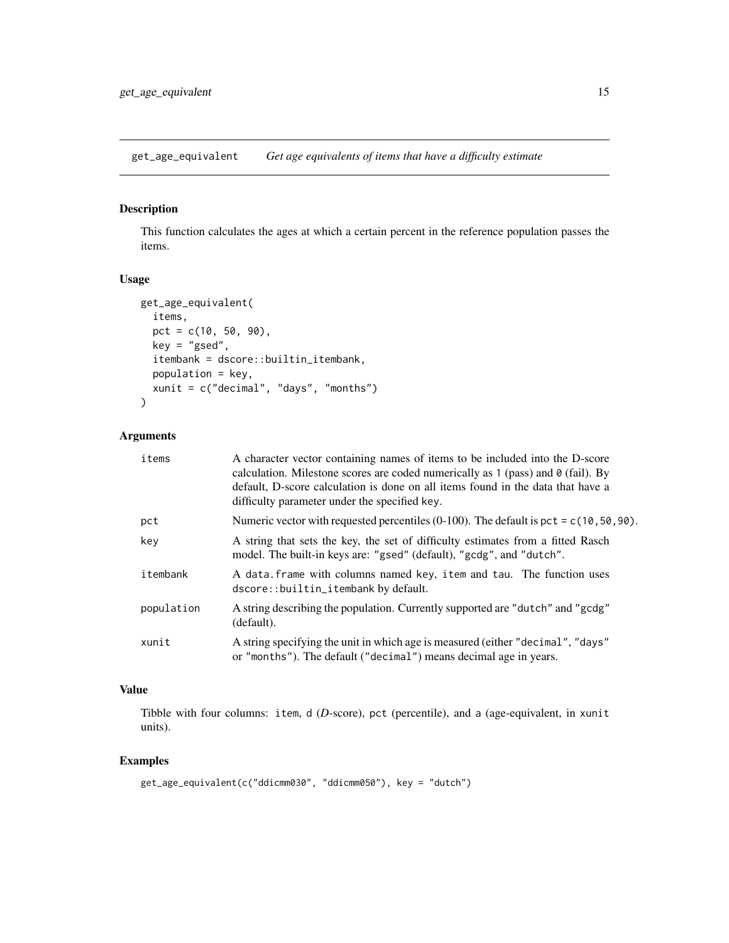<span id="page-14-1"></span><span id="page-14-0"></span>get\_age\_equivalent *Get age equivalents of items that have a difficulty estimate*

# Description

This function calculates the ages at which a certain percent in the reference population passes the items.

# Usage

```
get_age_equivalent(
  items,
 pct = c(10, 50, 90),
 key = "gsed",
  itembank = dscore::builtin_itembank,
 population = key,
 xunit = c("decimal", "days", "months")
)
```
# Arguments

| items      | A character vector containing names of items to be included into the D-score<br>calculation. Milestone scores are coded numerically as 1 (pass) and $\theta$ (fail). By<br>default, D-score calculation is done on all items found in the data that have a<br>difficulty parameter under the specified key. |  |
|------------|-------------------------------------------------------------------------------------------------------------------------------------------------------------------------------------------------------------------------------------------------------------------------------------------------------------|--|
| pct        | Numeric vector with requested percentiles (0-100). The default is pct = $c(10, 50, 90)$ .                                                                                                                                                                                                                   |  |
| key        | A string that sets the key, the set of difficulty estimates from a fitted Rasch<br>model. The built-in keys are: "gsed" (default), "gcdg", and "dutch".                                                                                                                                                     |  |
| itembank   | A data frame with columns named key, item and tau. The function uses<br>dscore::builtin_itembank by default.                                                                                                                                                                                                |  |
| population | A string describing the population. Currently supported are "dutch" and "gcdg"<br>(default).                                                                                                                                                                                                                |  |
| xunit      | A string specifying the unit in which age is measured (either "decimal", "days"<br>or "months"). The default ("decimal") means decimal age in years.                                                                                                                                                        |  |

# Value

Tibble with four columns: item, d (*D*-score), pct (percentile), and a (age-equivalent, in xunit units).

# Examples

```
get_age_equivalent(c("ddicmm030", "ddicmm050"), key = "dutch")
```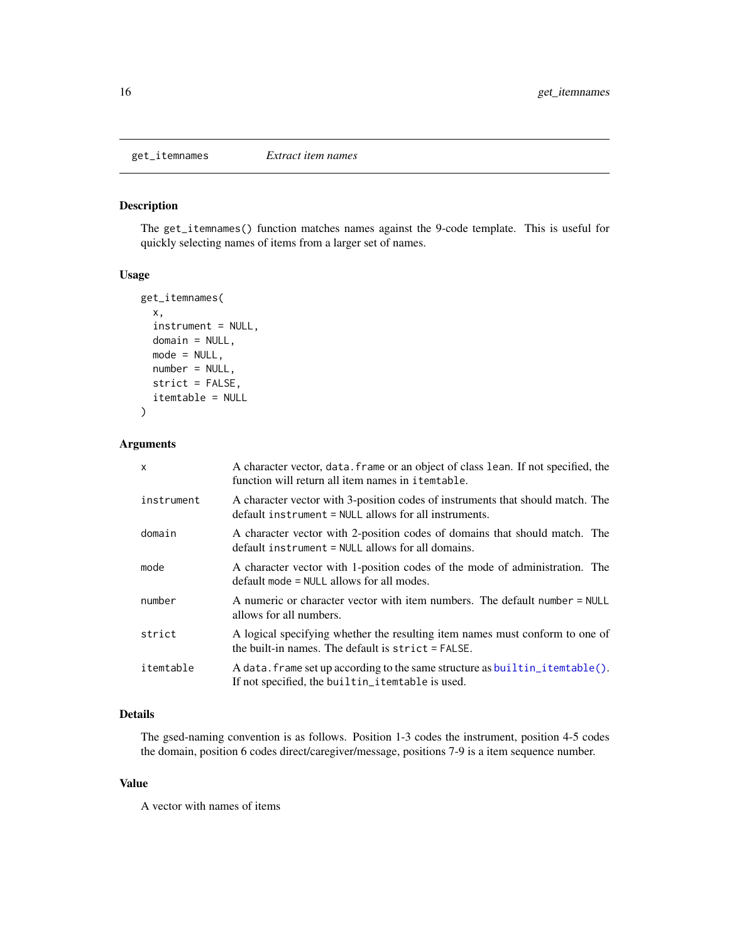<span id="page-15-1"></span><span id="page-15-0"></span>

# Description

The get\_itemnames() function matches names against the 9-code template. This is useful for quickly selecting names of items from a larger set of names.

# Usage

```
get_itemnames(
  x,
  instrument = NULL,
  domain = NULL,
 mode = NULL,
 number = NULL,
  strict = FALSE,
  itemtable = NULL
)
```
# Arguments

| $\mathsf{x}$ | A character vector, data. frame or an object of class lean. If not specified, the<br>function will return all item names in itemtable.    |
|--------------|-------------------------------------------------------------------------------------------------------------------------------------------|
| instrument   | A character vector with 3-position codes of instruments that should match. The<br>$default$ instrument = NULL allows for all instruments. |
| domain       | A character vector with 2-position codes of domains that should match. The<br>$default$ instrument = NULL allows for all domains.         |
| mode         | A character vector with 1-position codes of the mode of administration. The<br>$default mode = NULL allows for all modes.$                |
| number       | A numeric or character vector with item numbers. The default number = NULL<br>allows for all numbers.                                     |
| strict       | A logical specifying whether the resulting item names must conform to one of<br>the built-in names. The default is $strict = FALSE$ .     |
| itemtable    | A data. frame set up according to the same structure as builtin_itemtable().<br>If not specified, the builtin_itemtable is used.          |

# Details

The gsed-naming convention is as follows. Position 1-3 codes the instrument, position 4-5 codes the domain, position 6 codes direct/caregiver/message, positions 7-9 is a item sequence number.

# Value

A vector with names of items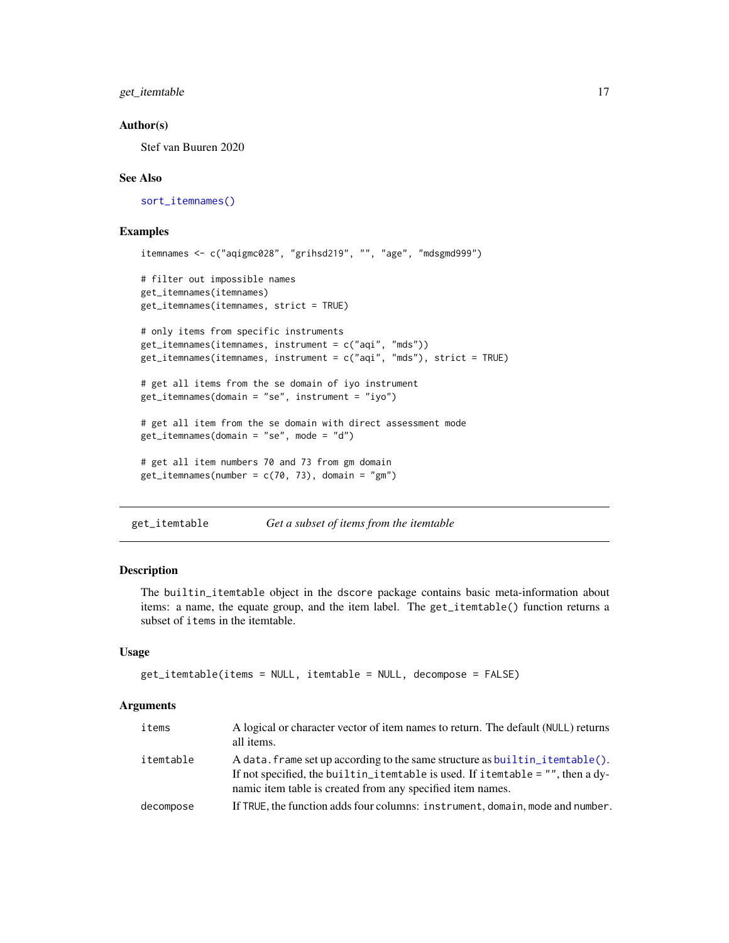<span id="page-16-0"></span>get\_itemtable 17

#### Author(s)

Stef van Buuren 2020

#### See Also

[sort\\_itemnames\(\)](#page-23-2)

#### Examples

```
itemnames <- c("aqigmc028", "grihsd219", "", "age", "mdsgmd999")
# filter out impossible names
get_itemnames(itemnames)
get_itemnames(itemnames, strict = TRUE)
# only items from specific instruments
get_itemnames(itemnames, instrument = c("aqi", "mds"))
get_itemnames(itemnames, instrument = c("aqi", "mds"), strict = TRUE)
# get all items from the se domain of iyo instrument
get_itemnames(domain = "se", instrument = "iyo")
# get all item from the se domain with direct assessment mode
get_itemnames(domain = "se", mode = "d")
# get all item numbers 70 and 73 from gm domain
get\_itemnames(number = c(70, 73), domain = "gm")
```
<span id="page-16-1"></span>get\_itemtable *Get a subset of items from the itemtable*

#### Description

The builtin\_itemtable object in the dscore package contains basic meta-information about items: a name, the equate group, and the item label. The get\_itemtable() function returns a subset of items in the itemtable.

#### Usage

```
get_itemtable(items = NULL, itemtable = NULL, decompose = FALSE)
```
#### **Arguments**

| items     | A logical or character vector of item names to return. The default (NULL) returns<br>all items.                                                                                                                                |
|-----------|--------------------------------------------------------------------------------------------------------------------------------------------------------------------------------------------------------------------------------|
| itemtable | A data. frame set up according to the same structure as builtin itemtable().<br>If not specified, the builtin_itemtable is used. If itemtable = $"$ , then a dy-<br>namic item table is created from any specified item names. |
| decompose | If TRUE, the function adds four columns: instrument, domain, mode and number.                                                                                                                                                  |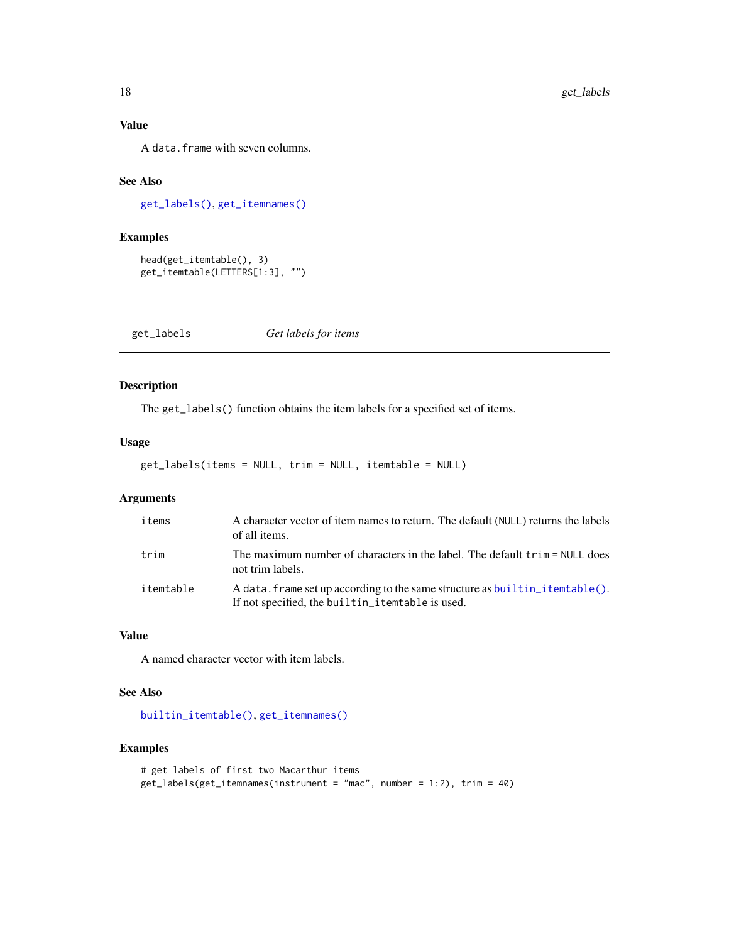# Value

A data.frame with seven columns.

# See Also

[get\\_labels\(\)](#page-17-1), [get\\_itemnames\(\)](#page-15-1)

# Examples

```
head(get_itemtable(), 3)
get_itemtable(LETTERS[1:3], "")
```
<span id="page-17-1"></span>get\_labels *Get labels for items*

# Description

The get\_labels() function obtains the item labels for a specified set of items.

# Usage

get\_labels(items = NULL, trim = NULL, itemtable = NULL)

# Arguments

| items     | A character vector of item names to return. The default (NULL) returns the labels<br>of all items.                               |
|-----------|----------------------------------------------------------------------------------------------------------------------------------|
| trim      | The maximum number of characters in the label. The default trim = NULL does<br>not trim labels.                                  |
| itemtable | A data. frame set up according to the same structure as builtin_itemtable().<br>If not specified, the builtin_itemtable is used. |

# Value

A named character vector with item labels.

#### See Also

[builtin\\_itemtable\(\)](#page-4-1), [get\\_itemnames\(\)](#page-15-1)

# Examples

```
# get labels of first two Macarthur items
get_labels(get_itemnames(instrument = "mac", number = 1:2), trim = 40)
```
<span id="page-17-0"></span>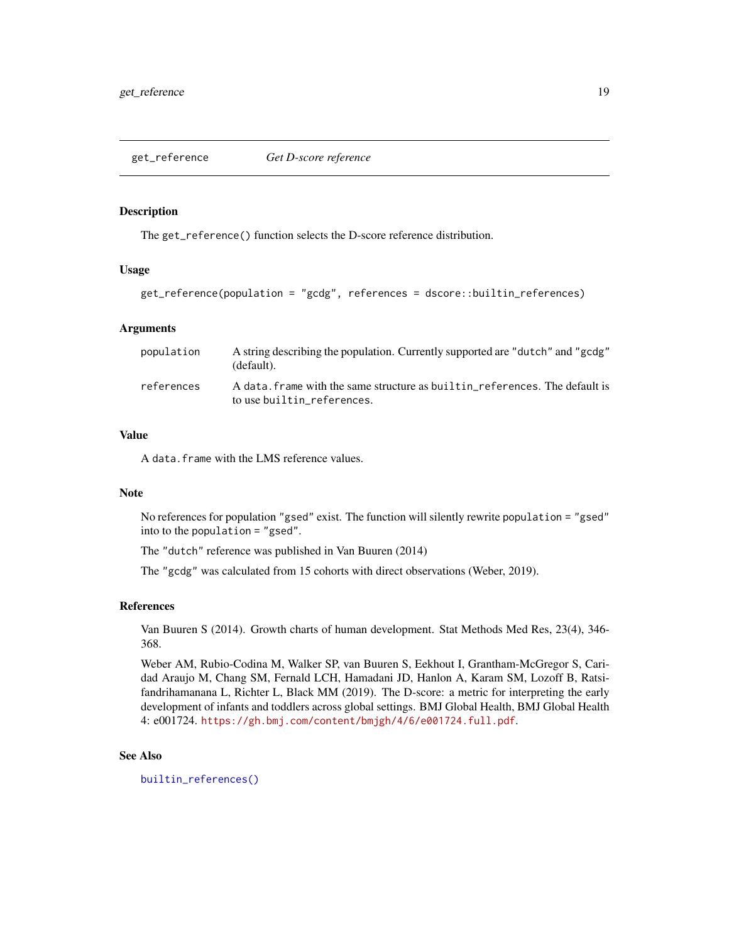<span id="page-18-1"></span><span id="page-18-0"></span>get\_reference *Get D-score reference*

# Description

The get\_reference() function selects the D-score reference distribution.

#### Usage

get\_reference(population = "gcdg", references = dscore::builtin\_references)

#### Arguments

| population | A string describing the population. Currently supported are "dutch" and "gcdg"<br>(default).              |
|------------|-----------------------------------------------------------------------------------------------------------|
| references | A data, frame with the same structure as builtin references. The default is<br>to use builtin references. |

# Value

A data.frame with the LMS reference values.

#### Note

No references for population "gsed" exist. The function will silently rewrite population = "gsed" into to the population = "gsed".

The "dutch" reference was published in Van Buuren (2014)

The "gcdg" was calculated from 15 cohorts with direct observations (Weber, 2019).

#### References

Van Buuren S (2014). Growth charts of human development. Stat Methods Med Res, 23(4), 346- 368.

Weber AM, Rubio-Codina M, Walker SP, van Buuren S, Eekhout I, Grantham-McGregor S, Caridad Araujo M, Chang SM, Fernald LCH, Hamadani JD, Hanlon A, Karam SM, Lozoff B, Ratsifandrihamanana L, Richter L, Black MM (2019). The D-score: a metric for interpreting the early development of infants and toddlers across global settings. BMJ Global Health, BMJ Global Health 4: e001724. <https://gh.bmj.com/content/bmjgh/4/6/e001724.full.pdf>.

#### See Also

[builtin\\_references\(\)](#page-4-2)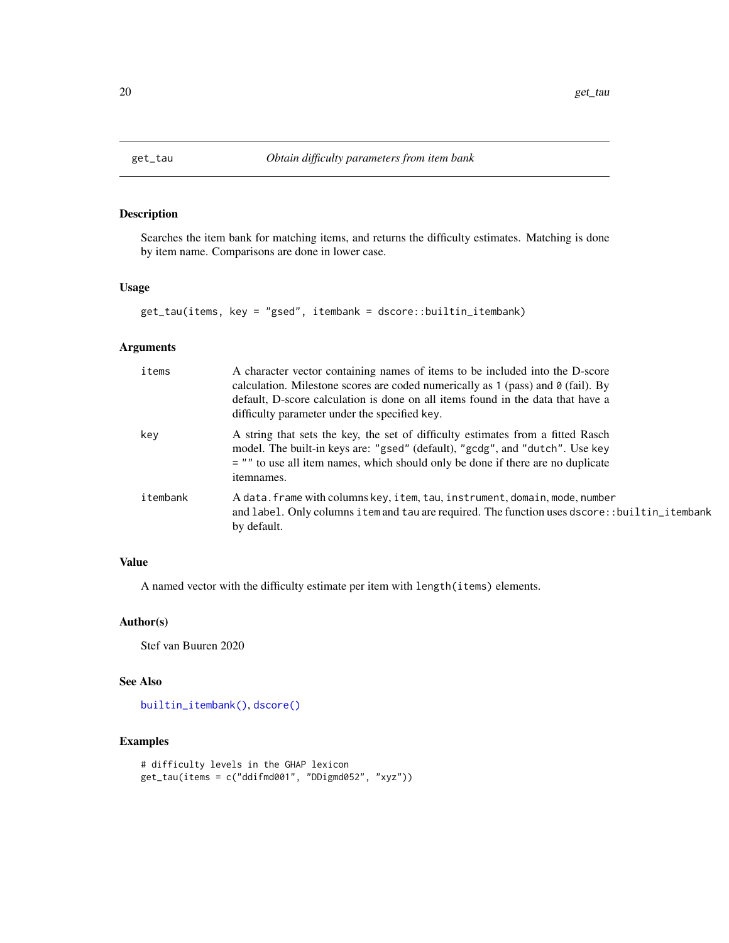<span id="page-19-1"></span><span id="page-19-0"></span>

# Description

Searches the item bank for matching items, and returns the difficulty estimates. Matching is done by item name. Comparisons are done in lower case.

# Usage

```
get_tau(items, key = "gsed", itembank = dscore::builtin_itembank)
```
# Arguments

| items    | A character vector containing names of items to be included into the D-score<br>calculation. Milestone scores are coded numerically as $1$ (pass) and $\theta$ (fail). By<br>default, D-score calculation is done on all items found in the data that have a<br>difficulty parameter under the specified key. |
|----------|---------------------------------------------------------------------------------------------------------------------------------------------------------------------------------------------------------------------------------------------------------------------------------------------------------------|
| key      | A string that sets the key, the set of difficulty estimates from a fitted Rasch<br>model. The built-in keys are: "gsed" (default), "gcdg", and "dutch". Use key<br>= "" to use all item names, which should only be done if there are no duplicate<br>itemnames.                                              |
| itembank | A data. frame with columns key, item, tau, instrument, domain, mode, number<br>and label. Only columns item and tau are required. The function uses dscore::builtin_itembank<br>by default.                                                                                                                   |

# Value

A named vector with the difficulty estimate per item with length(items) elements.

# Author(s)

Stef van Buuren 2020

# See Also

[builtin\\_itembank\(\)](#page-3-1), [dscore\(\)](#page-10-1)

# Examples

```
# difficulty levels in the GHAP lexicon
get_tau(items = c("ddifmd001", "DDigmd052", "xyz"))
```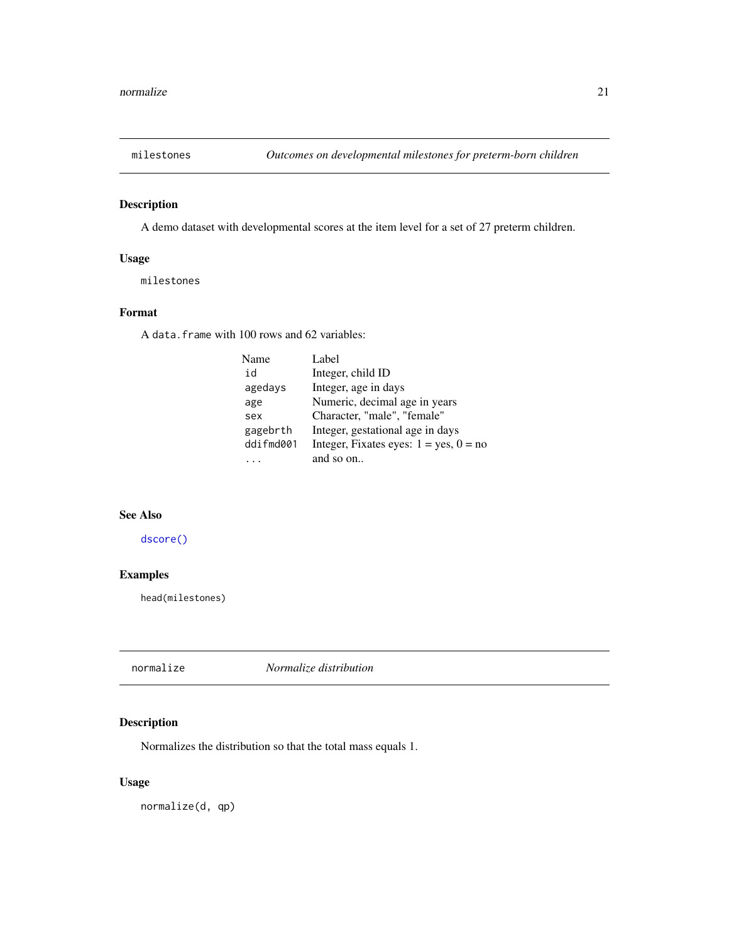<span id="page-20-1"></span><span id="page-20-0"></span>

# Description

A demo dataset with developmental scores at the item level for a set of 27 preterm children.

# Usage

milestones

# Format

A data.frame with 100 rows and 62 variables:

| Name      | Label                                       |
|-----------|---------------------------------------------|
| id        | Integer, child ID                           |
| agedays   | Integer, age in days                        |
| age       | Numeric, decimal age in years               |
| sex       | Character, "male", "female"                 |
| gagebrth  | Integer, gestational age in days            |
| ddifmd001 | Integer, Fixates eyes: $1 = yes$ , $0 = no$ |
|           | and so on                                   |
|           |                                             |

## See Also

[dscore\(\)](#page-10-1)

# Examples

head(milestones)

normalize *Normalize distribution*

# Description

Normalizes the distribution so that the total mass equals 1.

# Usage

normalize(d, qp)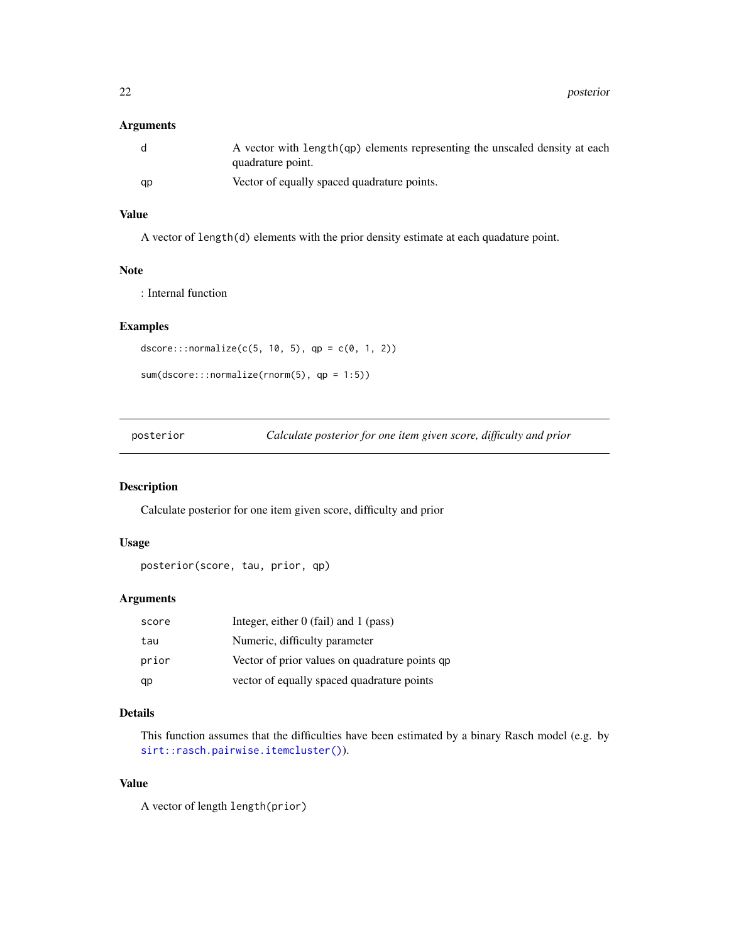# <span id="page-21-0"></span>Arguments

| -d | A vector with length (qp) elements representing the unscaled density at each<br>quadrature point. |
|----|---------------------------------------------------------------------------------------------------|
| gp | Vector of equally spaced quadrature points.                                                       |

# Value

A vector of length(d) elements with the prior density estimate at each quadature point.

#### Note

: Internal function

# Examples

```
dscore:::normalize(c(5, 10, 5), qp = c(0, 1, 2))
```

```
sum(dscore:::normalize(rnorm(5), qp = 1:5))
```
<span id="page-21-1"></span>posterior *Calculate posterior for one item given score, difficulty and prior*

#### Description

Calculate posterior for one item given score, difficulty and prior

#### Usage

```
posterior(score, tau, prior, qp)
```
# Arguments

| score | Integer, either $0$ (fail) and $1$ (pass)      |
|-------|------------------------------------------------|
| tau   | Numeric, difficulty parameter                  |
| prior | Vector of prior values on quadrature points qp |
| qp    | vector of equally spaced quadrature points     |

# Details

This function assumes that the difficulties have been estimated by a binary Rasch model (e.g. by [sirt::rasch.pairwise.itemcluster\(\)](#page-0-0)).

# Value

A vector of length length(prior)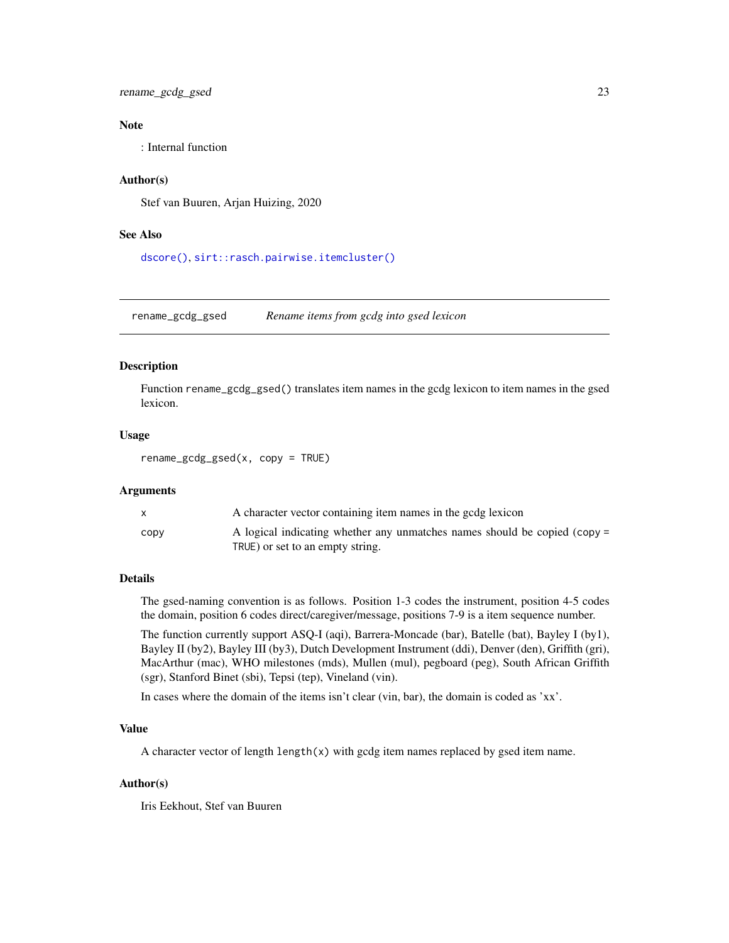<span id="page-22-0"></span>rename\_gcdg\_gsed 23

# Note

: Internal function

# Author(s)

Stef van Buuren, Arjan Huizing, 2020

### See Also

[dscore\(\)](#page-10-1), [sirt::rasch.pairwise.itemcluster\(\)](#page-0-0)

<span id="page-22-1"></span>rename\_gcdg\_gsed *Rename items from gcdg into gsed lexicon*

#### Description

Function rename\_gcdg\_gsed() translates item names in the gcdg lexicon to item names in the gsed lexicon.

#### Usage

rename\_gcdg\_gsed(x, copy = TRUE)

#### **Arguments**

|      | A character vector containing item names in the godg lexicon              |
|------|---------------------------------------------------------------------------|
| CODV | A logical indicating whether any unmatches names should be copied (copy = |
|      | TRUE) or set to an empty string.                                          |

#### Details

The gsed-naming convention is as follows. Position 1-3 codes the instrument, position 4-5 codes the domain, position 6 codes direct/caregiver/message, positions 7-9 is a item sequence number.

The function currently support ASQ-I (aqi), Barrera-Moncade (bar), Batelle (bat), Bayley I (by1), Bayley II (by2), Bayley III (by3), Dutch Development Instrument (ddi), Denver (den), Griffith (gri), MacArthur (mac), WHO milestones (mds), Mullen (mul), pegboard (peg), South African Griffith (sgr), Stanford Binet (sbi), Tepsi (tep), Vineland (vin).

In cases where the domain of the items isn't clear (vin, bar), the domain is coded as 'xx'.

#### Value

A character vector of length length(x) with gcdg item names replaced by gsed item name.

#### Author(s)

Iris Eekhout, Stef van Buuren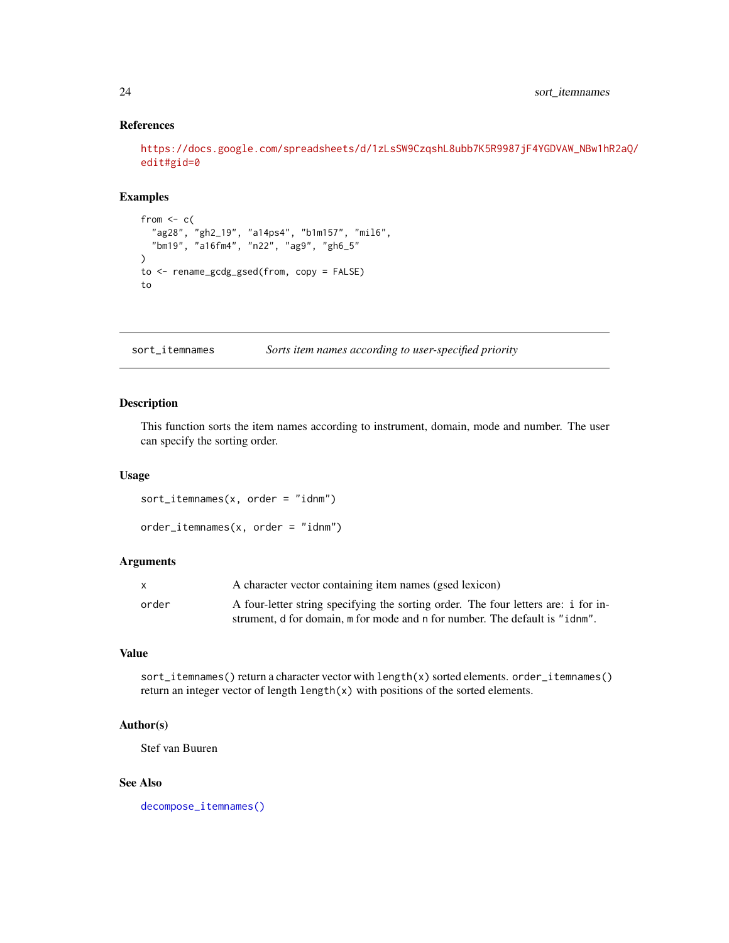# References

```
https://docs.google.com/spreadsheets/d/1zLsSW9CzqshL8ubb7K5R9987jF4YGDVAW_NBw1hR2aQ/
edit#gid=0
```
# Examples

```
from <-c("ag28", "gh2_19", "a14ps4", "b1m157", "mil6",
  "bm19", "a16fm4", "n22", "ag9", "gh6_5"
)
to <- rename_gcdg_gsed(from, copy = FALSE)
to
```
<span id="page-23-2"></span>sort\_itemnames *Sorts item names according to user-specified priority*

# <span id="page-23-1"></span>Description

This function sorts the item names according to instrument, domain, mode and number. The user can specify the sorting order.

#### Usage

```
sort\_itemnames(x, order = "idnm")
```

```
order\_itemnames(x, order = "idnm")
```
# Arguments

|       | A character vector containing item names (gsed lexicon)                            |
|-------|------------------------------------------------------------------------------------|
| order | A four-letter string specifying the sorting order. The four letters are: i for in- |
|       | strument, d for domain, m for mode and n for number. The default is "idnm".        |

#### Value

sort\_itemnames() return a character vector with length(x) sorted elements. order\_itemnames() return an integer vector of length length(x) with positions of the sorted elements.

# Author(s)

Stef van Buuren

#### See Also

[decompose\\_itemnames\(\)](#page-9-1)

<span id="page-23-0"></span>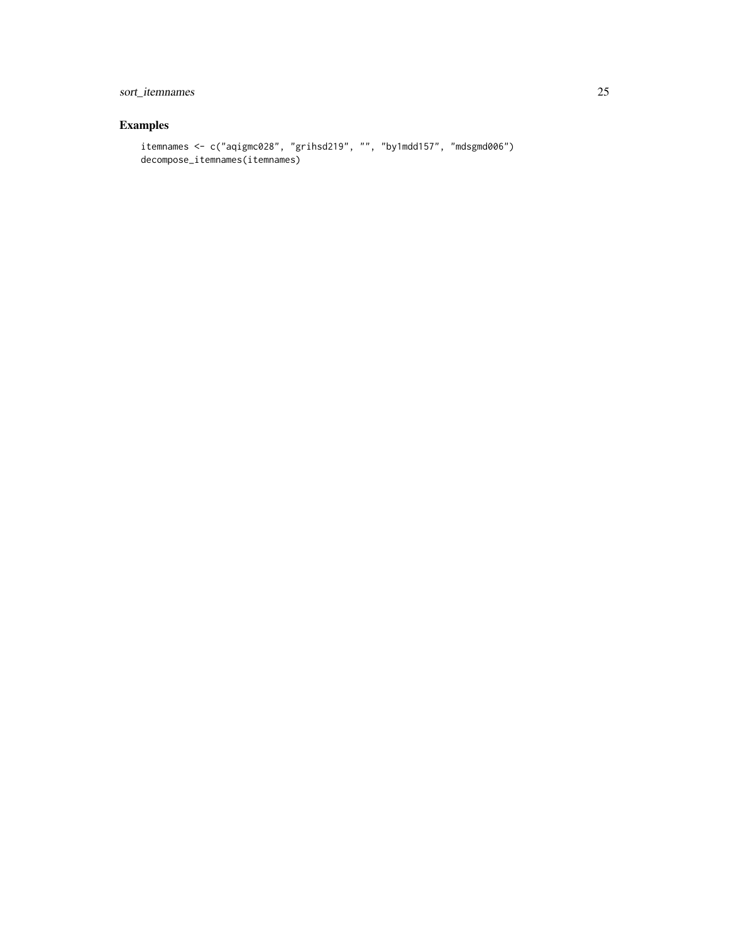# sort\_itemnames 25

# Examples

```
itemnames <- c("aqigmc028", "grihsd219", "", "by1mdd157", "mdsgmd006")
decompose_itemnames(itemnames)
```